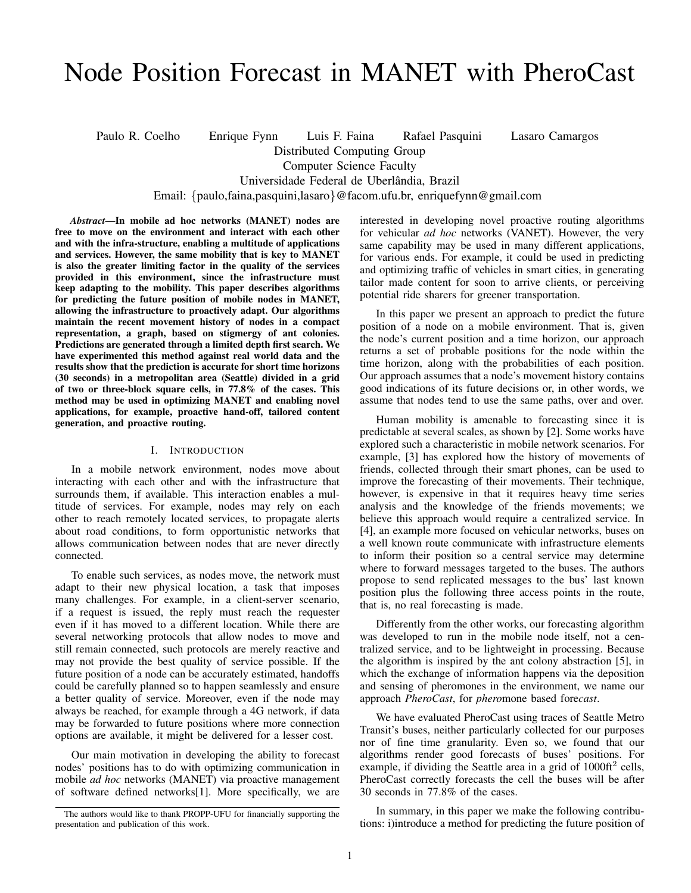# Node Position Forecast in MANET with PheroCast

Paulo R. Coelho Enrique Fynn Luis F. Faina Rafael Pasquini Lasaro Camargos

Distributed Computing Group Computer Science Faculty Universidade Federal de Uberlândia, Brazil Email: {paulo,faina,pasquini,lasaro}@facom.ufu.br, enriquefynn@gmail.com

*Abstract*—In mobile ad hoc networks (MANET) nodes are free to move on the environment and interact with each other and with the infra-structure, enabling a multitude of applications and services. However, the same mobility that is key to MANET is also the greater limiting factor in the quality of the services provided in this environment, since the infrastructure must keep adapting to the mobility. This paper describes algorithms for predicting the future position of mobile nodes in MANET, allowing the infrastructure to proactively adapt. Our algorithms maintain the recent movement history of nodes in a compact representation, a graph, based on stigmergy of ant colonies. Predictions are generated through a limited depth first search. We have experimented this method against real world data and the results show that the prediction is accurate for short time horizons (30 seconds) in a metropolitan area (Seattle) divided in a grid of two or three-block square cells, in 77.8% of the cases. This method may be used in optimizing MANET and enabling novel applications, for example, proactive hand-off, tailored content generation, and proactive routing.

# I. INTRODUCTION

In a mobile network environment, nodes move about interacting with each other and with the infrastructure that surrounds them, if available. This interaction enables a multitude of services. For example, nodes may rely on each other to reach remotely located services, to propagate alerts about road conditions, to form opportunistic networks that allows communication between nodes that are never directly connected.

To enable such services, as nodes move, the network must adapt to their new physical location, a task that imposes many challenges. For example, in a client-server scenario, if a request is issued, the reply must reach the requester even if it has moved to a different location. While there are several networking protocols that allow nodes to move and still remain connected, such protocols are merely reactive and may not provide the best quality of service possible. If the future position of a node can be accurately estimated, handoffs could be carefully planned so to happen seamlessly and ensure a better quality of service. Moreover, even if the node may always be reached, for example through a 4G network, if data may be forwarded to future positions where more connection options are available, it might be delivered for a lesser cost.

Our main motivation in developing the ability to forecast nodes' positions has to do with optimizing communication in mobile *ad hoc* networks (MANET) via proactive management of software defined networks[1]. More specifically, we are interested in developing novel proactive routing algorithms for vehicular *ad hoc* networks (VANET). However, the very same capability may be used in many different applications, for various ends. For example, it could be used in predicting and optimizing traffic of vehicles in smart cities, in generating tailor made content for soon to arrive clients, or perceiving potential ride sharers for greener transportation.

In this paper we present an approach to predict the future position of a node on a mobile environment. That is, given the node's current position and a time horizon, our approach returns a set of probable positions for the node within the time horizon, along with the probabilities of each position. Our approach assumes that a node's movement history contains good indications of its future decisions or, in other words, we assume that nodes tend to use the same paths, over and over.

Human mobility is amenable to forecasting since it is predictable at several scales, as shown by [2]. Some works have explored such a characteristic in mobile network scenarios. For example, [3] has explored how the history of movements of friends, collected through their smart phones, can be used to improve the forecasting of their movements. Their technique, however, is expensive in that it requires heavy time series analysis and the knowledge of the friends movements; we believe this approach would require a centralized service. In [4], an example more focused on vehicular networks, buses on a well known route communicate with infrastructure elements to inform their position so a central service may determine where to forward messages targeted to the buses. The authors propose to send replicated messages to the bus' last known position plus the following three access points in the route, that is, no real forecasting is made.

Differently from the other works, our forecasting algorithm was developed to run in the mobile node itself, not a centralized service, and to be lightweight in processing. Because the algorithm is inspired by the ant colony abstraction [5], in which the exchange of information happens via the deposition and sensing of pheromones in the environment, we name our approach *PheroCast*, for *phero*mone based fore*cast*.

We have evaluated PheroCast using traces of Seattle Metro Transit's buses, neither particularly collected for our purposes nor of fine time granularity. Even so, we found that our algorithms render good forecasts of buses' positions. For example, if dividing the Seattle area in a grid of  $1000 \text{ft}^2$  cells, PheroCast correctly forecasts the cell the buses will be after 30 seconds in 77.8% of the cases.

In summary, in this paper we make the following contributions: i)introduce a method for predicting the future position of

The authors would like to thank PROPP-UFU for financially supporting the presentation and publication of this work.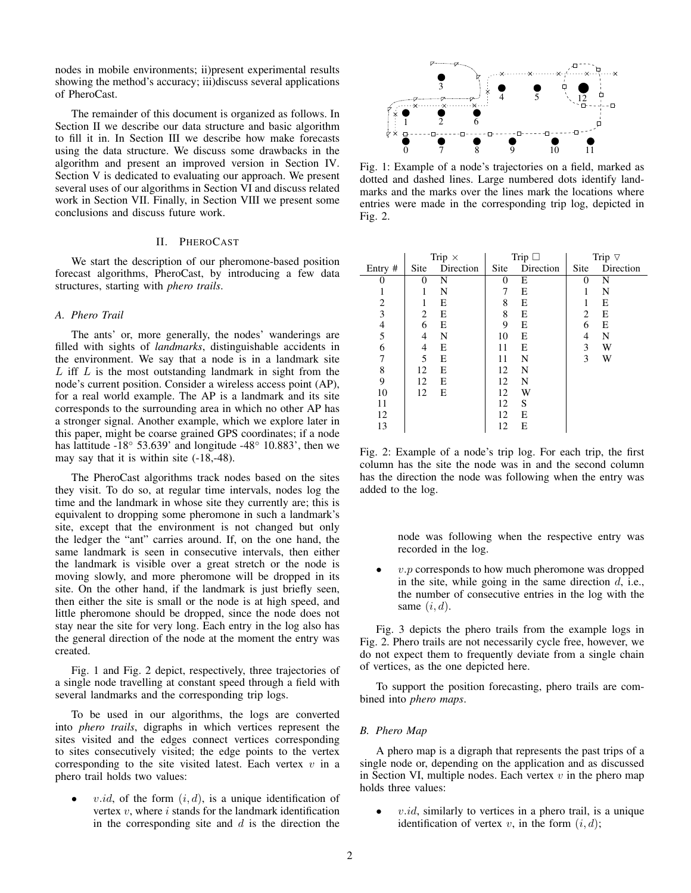nodes in mobile environments; ii)present experimental results showing the method's accuracy; iii)discuss several applications of PheroCast.

The remainder of this document is organized as follows. In Section II we describe our data structure and basic algorithm to fill it in. In Section III we describe how make forecasts using the data structure. We discuss some drawbacks in the algorithm and present an improved version in Section IV. Section V is dedicated to evaluating our approach. We present several uses of our algorithms in Section VI and discuss related work in Section VII. Finally, in Section VIII we present some conclusions and discuss future work.

# II. PHEROCAST

We start the description of our pheromone-based position forecast algorithms, PheroCast, by introducing a few data structures, starting with *phero trails*.

# *A. Phero Trail*

The ants' or, more generally, the nodes' wanderings are filled with sights of *landmarks*, distinguishable accidents in the environment. We say that a node is in a landmark site  $L$  iff  $L$  is the most outstanding landmark in sight from the node's current position. Consider a wireless access point (AP), for a real world example. The AP is a landmark and its site corresponds to the surrounding area in which no other AP has a stronger signal. Another example, which we explore later in this paper, might be coarse grained GPS coordinates; if a node has lattitude -18◦ 53.639' and longitude -48◦ 10.883', then we may say that it is within site (-18,-48).

The PheroCast algorithms track nodes based on the sites they visit. To do so, at regular time intervals, nodes log the time and the landmark in whose site they currently are; this is equivalent to dropping some pheromone in such a landmark's site, except that the environment is not changed but only the ledger the "ant" carries around. If, on the one hand, the same landmark is seen in consecutive intervals, then either the landmark is visible over a great stretch or the node is moving slowly, and more pheromone will be dropped in its site. On the other hand, if the landmark is just briefly seen, then either the site is small or the node is at high speed, and little pheromone should be dropped, since the node does not stay near the site for very long. Each entry in the log also has the general direction of the node at the moment the entry was created.

Fig. 1 and Fig. 2 depict, respectively, three trajectories of a single node travelling at constant speed through a field with several landmarks and the corresponding trip logs.

To be used in our algorithms, the logs are converted into *phero trails*, digraphs in which vertices represent the sites visited and the edges connect vertices corresponding to sites consecutively visited; the edge points to the vertex corresponding to the site visited latest. Each vertex  $v$  in a phero trail holds two values:

v.id, of the form  $(i, d)$ , is a unique identification of vertex  $v$ , where  $i$  stands for the landmark identification in the corresponding site and  $d$  is the direction the



Fig. 1: Example of a node's trajectories on a field, marked as dotted and dashed lines. Large numbered dots identify landmarks and the marks over the lines mark the locations where entries were made in the corresponding trip log, depicted in Fig. 2.

|                | Trip $\times$ |           |             | Trip $\square$ | Trip $\nabla$ |           |  |
|----------------|---------------|-----------|-------------|----------------|---------------|-----------|--|
| Entry #        | Site          | Direction | <b>Site</b> | Direction      | Site          | Direction |  |
| 0              | 0             | N         | 0           | Е              | 0             | N         |  |
| 1              |               | N         | 7           | Е              |               | N         |  |
| 2              | 1             | Е         | 8           | Е              | 1             | Е         |  |
| $\mathfrak{Z}$ | 2             | Е         | 8           | Е              | 2             | Е         |  |
|                | 6             | Е         | 9           | Е              | 6             | Ε         |  |
| $\frac{4}{5}$  | 4             | N         | 10          | Е              | 4             | N         |  |
| 6              | 4             | E         | 11          | Е              | 3             | W         |  |
| 7              | 5             | E         | 11          | N              | 3             | W         |  |
| 8              | 12            | E         | 12          | N              |               |           |  |
| 9              | 12            | Е         | 12          | N              |               |           |  |
| 10             | 12            | E         | 12          | W              |               |           |  |
| 11             |               |           | 12          | S              |               |           |  |
| 12             |               |           | 12          | Е              |               |           |  |
| 13             |               |           | 12          | E              |               |           |  |

Fig. 2: Example of a node's trip log. For each trip, the first column has the site the node was in and the second column has the direction the node was following when the entry was added to the log.

node was following when the respective entry was recorded in the log.

 $v.p$  corresponds to how much pheromone was dropped in the site, while going in the same direction  $d$ , i.e., the number of consecutive entries in the log with the same  $(i, d)$ .

Fig. 3 depicts the phero trails from the example logs in Fig. 2. Phero trails are not necessarily cycle free, however, we do not expect them to frequently deviate from a single chain of vertices, as the one depicted here.

To support the position forecasting, phero trails are combined into *phero maps*.

# *B. Phero Map*

A phero map is a digraph that represents the past trips of a single node or, depending on the application and as discussed in Section VI, multiple nodes. Each vertex  $v$  in the phero map holds three values:

 $v.id$ , similarly to vertices in a phero trail, is a unique identification of vertex  $v$ , in the form  $(i, d)$ ;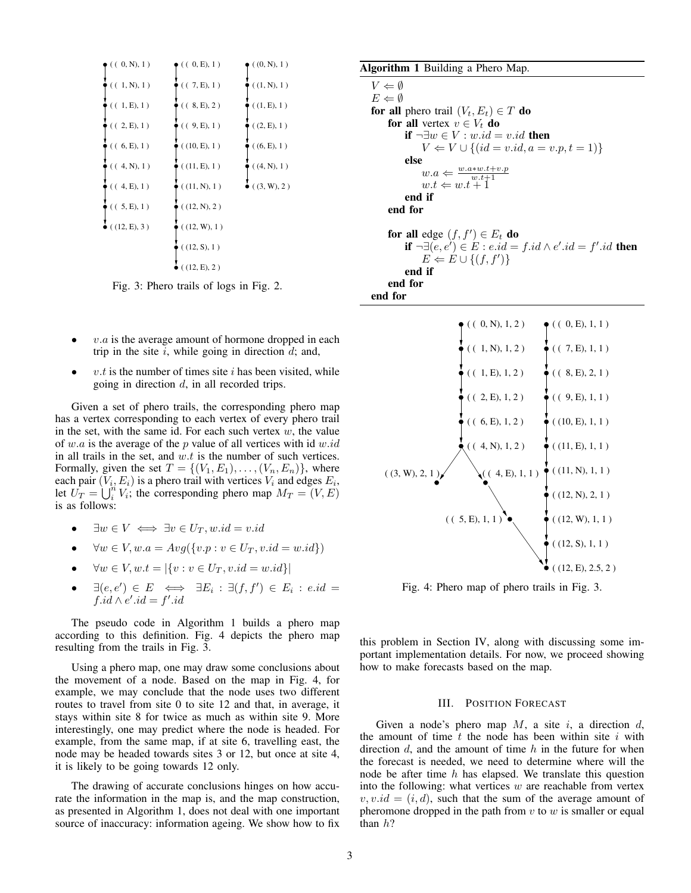| ((0, N), 1)  | ((0, E), 1)  | ((0, N), 1) |
|--------------|--------------|-------------|
| ((1, N), 1)  | ((7, E), 1)  | ((1, N), 1) |
| ((1, E), 1)  | ((8, E), 2)  | ((1, E), 1) |
| ((2, E), 1)  | ((9, E), 1)  | ((2, E), 1) |
| ((6, E), 1)  | (10, E), 1)  | ((6, E), 1) |
| ((4, N), 1)  | ((11, E), 1) | ((4, N), 1) |
| ((4, E), 1)  | ((11, N), 1) | ((3, W), 2) |
| ((5, E), 1)  | ((12, N), 2) |             |
| ((12, E), 3) | ((12, W), 1) |             |
|              | ((12, S), 1) |             |
|              | ((12, E), 2) |             |

Fig. 3: Phero trails of logs in Fig. 2.

- $v.a$  is the average amount of hormone dropped in each trip in the site  $i$ , while going in direction  $d$ ; and,
- $v.t$  is the number of times site i has been visited, while going in direction  $d$ , in all recorded trips.

Given a set of phero trails, the corresponding phero map has a vertex corresponding to each vertex of every phero trail in the set, with the same id. For each such vertex  $w$ , the value of w.a is the average of the p value of all vertices with id  $w.id$ in all trails in the set, and  $w.t$  is the number of such vertices. Formally, given the set  $T = \{(V_1, E_1), \ldots, (V_n, E_n)\}\)$ , where each pair  $(V_i, E_i)$  is a phero trail with vertices  $V_i$  and edges  $E_i$ , let  $U_T = \bigcup_{i=1}^{n} V_i$ ; the corresponding phero map  $M_T = (V, E)$ is as follows:

- $\exists w \in V \iff \exists v \in U_T, w.id = v.id$
- $\forall w \in V, w.a = Avq({v.p : v \in U_T, v.id = w.id})$
- $\forall w \in V, w.t = |\{v : v \in U_T, v.id = w.id\}|$
- $\exists (e, e') \in E \iff \exists E_i : \exists (f, f') \in E_i : e.id =$  $f.id \wedge e'.id = f'.id$

The pseudo code in Algorithm 1 builds a phero map according to this definition. Fig. 4 depicts the phero map resulting from the trails in Fig. 3.

Using a phero map, one may draw some conclusions about the movement of a node. Based on the map in Fig. 4, for example, we may conclude that the node uses two different routes to travel from site 0 to site 12 and that, in average, it stays within site 8 for twice as much as within site 9. More interestingly, one may predict where the node is headed. For example, from the same map, if at site 6, travelling east, the node may be headed towards sites 3 or 12, but once at site 4, it is likely to be going towards 12 only.

The drawing of accurate conclusions hinges on how accurate the information in the map is, and the map construction, as presented in Algorithm 1, does not deal with one important source of inaccuracy: information ageing. We show how to fix

# Algorithm 1 Building a Phero Map.  $V \Leftarrow \emptyset$  $E \Leftarrow \emptyset$ for all phero trail  $(V_t, E_t) \in T$  do for all vertex  $v \in V_t$  do if  $\neg \exists w \in V : w.id = v.id$  then  $V \leftarrow V \cup \{ (id = v.id, a = v.p, t = 1) \}$ else  $w.a \Leftarrow \frac{w.a*w.t+v.p}{...}$  $w.t \leftarrow w.t + 1$ end if end for for all edge  $(f, f') \in E_t$  do if  $\neg \exists (e, e') \in E : e.id = f.id \land e'.id = f'.id$  then  $E \Leftarrow E \cup \{(f, f')\}$ end if end for end for



Fig. 4: Phero map of phero trails in Fig. 3.

this problem in Section IV, along with discussing some important implementation details. For now, we proceed showing how to make forecasts based on the map.

# III. POSITION FORECAST

Given a node's phero map  $M$ , a site i, a direction d, the amount of time  $t$  the node has been within site  $i$  with direction  $d$ , and the amount of time  $h$  in the future for when the forecast is needed, we need to determine where will the node be after time  $h$  has elapsed. We translate this question into the following: what vertices  $w$  are reachable from vertex  $v, v.id = (i, d)$ , such that the sum of the average amount of pheromone dropped in the path from  $v$  to  $w$  is smaller or equal than h?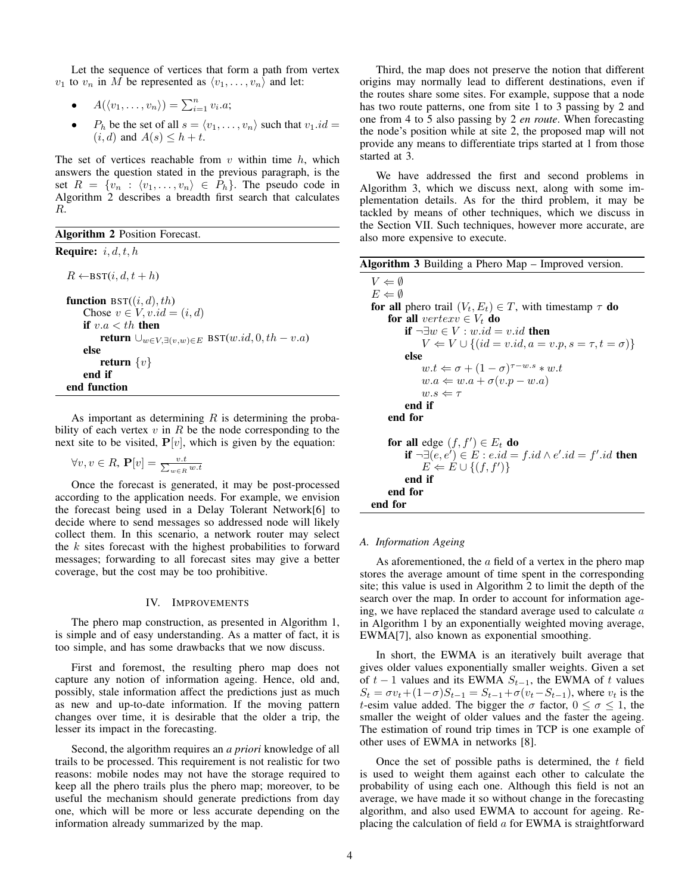Let the sequence of vertices that form a path from vertex  $v_1$  to  $v_n$  in M be represented as  $\langle v_1, \ldots, v_n \rangle$  and let:

• 
$$
A(\langle v_1,\ldots,v_n\rangle) = \sum_{i=1}^n v_i.a;
$$

 $P_h$  be the set of all  $s = \langle v_1, \ldots, v_n \rangle$  such that  $v_1.id =$  $(i, d)$  and  $A(s) \leq h + t$ .

The set of vertices reachable from  $v$  within time  $h$ , which answers the question stated in the previous paragraph, is the set  $R = \{v_n : \langle v_1, \ldots, v_n \rangle \in P_h\}$ . The pseudo code in Algorithm 2 describes a breadth first search that calculates R.

### Algorithm 2 Position Forecast.

**Require:**  $i, d, t, h$  $R \leftarrow \text{BST}(i, d, t + h)$ function  $BST((i, d), th)$ Chose  $v \in V$ ,  $v.id = (i, d)$ if  $v.a < th$  then return  $\cup_{w\in V,\exists(v,w)\in E}$  BST $(w.id, 0, th - v.a)$ else return  $\{v\}$ end if end function

As important as determining  $R$  is determining the probability of each vertex  $v$  in  $R$  be the node corresponding to the next site to be visited,  $P[v]$ , which is given by the equation:

$$
\forall v, v \in R, \mathbf{P}[v] = \frac{v.t}{\sum_{w \in R} w.t}
$$

Once the forecast is generated, it may be post-processed according to the application needs. For example, we envision the forecast being used in a Delay Tolerant Network[6] to decide where to send messages so addressed node will likely collect them. In this scenario, a network router may select the  $k$  sites forecast with the highest probabilities to forward messages; forwarding to all forecast sites may give a better coverage, but the cost may be too prohibitive.

#### IV. IMPROVEMENTS

The phero map construction, as presented in Algorithm 1, is simple and of easy understanding. As a matter of fact, it is too simple, and has some drawbacks that we now discuss.

First and foremost, the resulting phero map does not capture any notion of information ageing. Hence, old and, possibly, stale information affect the predictions just as much as new and up-to-date information. If the moving pattern changes over time, it is desirable that the older a trip, the lesser its impact in the forecasting.

Second, the algorithm requires an *a priori* knowledge of all trails to be processed. This requirement is not realistic for two reasons: mobile nodes may not have the storage required to keep all the phero trails plus the phero map; moreover, to be useful the mechanism should generate predictions from day one, which will be more or less accurate depending on the information already summarized by the map.

Third, the map does not preserve the notion that different origins may normally lead to different destinations, even if the routes share some sites. For example, suppose that a node has two route patterns, one from site 1 to 3 passing by 2 and one from 4 to 5 also passing by 2 *en route*. When forecasting the node's position while at site 2, the proposed map will not provide any means to differentiate trips started at 1 from those started at 3.

We have addressed the first and second problems in Algorithm 3, which we discuss next, along with some implementation details. As for the third problem, it may be tackled by means of other techniques, which we discuss in the Section VII. Such techniques, however more accurate, are also more expensive to execute.

| Algorithm 3 Building a Phero Map - Improved version. |  |  |  |  |  |
|------------------------------------------------------|--|--|--|--|--|
|                                                      |  |  |  |  |  |

| $V \Leftarrow \emptyset$                                               |
|------------------------------------------------------------------------|
| $E \Leftarrow \emptyset$                                               |
| for all phero trail $(V_t, E_t) \in T$ , with timestamp $\tau$ do      |
| for all vertex $v \in V_t$ do                                          |
| if $\neg \exists w \in V : w.id = v.id$ then                           |
| $V \leftarrow V \cup \{(id=v.id, a=v.p, s=\tau, t=\sigma)\}\$          |
| else                                                                   |
| $w.t \Leftarrow \sigma + (1 - \sigma)^{\tau - w.s} * w.t$              |
| $w.a \Leftarrow w.a + \sigma(v.p - w.a)$                               |
| $w.s \Leftarrow \tau$                                                  |
| end if                                                                 |
| end for                                                                |
|                                                                        |
| for all edge $(f, f') \in E_t$ do                                      |
| if $\neg \exists (e, e') \in E : e.id = f.id \land e'.id = f'.id$ then |
| $E \Leftarrow E \cup \{(f, f')\}$                                      |
| end if                                                                 |
| end for                                                                |
| end for                                                                |

#### *A. Information Ageing*

As aforementioned, the a field of a vertex in the phero map stores the average amount of time spent in the corresponding site; this value is used in Algorithm 2 to limit the depth of the search over the map. In order to account for information ageing, we have replaced the standard average used to calculate a in Algorithm 1 by an exponentially weighted moving average, EWMA[7], also known as exponential smoothing.

In short, the EWMA is an iteratively built average that gives older values exponentially smaller weights. Given a set of  $t - 1$  values and its EWMA  $S_{t-1}$ , the EWMA of t values  $S_t = \sigma v_t + (1-\sigma)S_{t-1} = S_{t-1} + \sigma(v_t - S_{t-1})$ , where  $v_t$  is the t-esim value added. The bigger the  $\sigma$  factor,  $0 \le \sigma \le 1$ , the smaller the weight of older values and the faster the ageing. The estimation of round trip times in TCP is one example of other uses of EWMA in networks [8].

Once the set of possible paths is determined, the  $t$  field is used to weight them against each other to calculate the probability of using each one. Although this field is not an average, we have made it so without change in the forecasting algorithm, and also used EWMA to account for ageing. Replacing the calculation of field a for EWMA is straightforward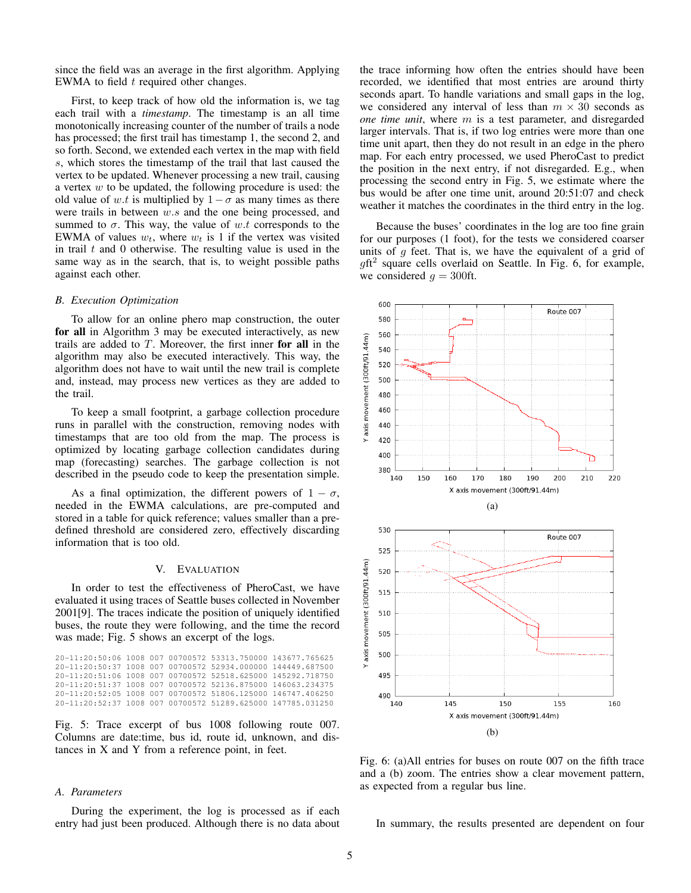since the field was an average in the first algorithm. Applying EWMA to field t required other changes.

First, to keep track of how old the information is, we tag each trail with a *timestamp*. The timestamp is an all time monotonically increasing counter of the number of trails a node has processed; the first trail has timestamp 1, the second 2, and so forth. Second, we extended each vertex in the map with field s, which stores the timestamp of the trail that last caused the vertex to be updated. Whenever processing a new trail, causing a vertex  $w$  to be updated, the following procedure is used: the old value of w.t is multiplied by  $1-\sigma$  as many times as there were trails in between w.s and the one being processed, and summed to  $\sigma$ . This way, the value of w.t corresponds to the EWMA of values  $w_t$ , where  $w_t$  is 1 if the vertex was visited in trail  $t$  and  $0$  otherwise. The resulting value is used in the same way as in the search, that is, to weight possible paths against each other.

#### *B. Execution Optimization*

To allow for an online phero map construction, the outer for all in Algorithm 3 may be executed interactively, as new trails are added to  $T$ . Moreover, the first inner for all in the algorithm may also be executed interactively. This way, the algorithm does not have to wait until the new trail is complete and, instead, may process new vertices as they are added to the trail.

To keep a small footprint, a garbage collection procedure runs in parallel with the construction, removing nodes with timestamps that are too old from the map. The process is optimized by locating garbage collection candidates during map (forecasting) searches. The garbage collection is not described in the pseudo code to keep the presentation simple.

As a final optimization, the different powers of  $1 - \sigma$ , needed in the EWMA calculations, are pre-computed and stored in a table for quick reference; values smaller than a predefined threshold are considered zero, effectively discarding information that is too old.

# V. EVALUATION

In order to test the effectiveness of PheroCast, we have evaluated it using traces of Seattle buses collected in November 2001[9]. The traces indicate the position of uniquely identified buses, the route they were following, and the time the record was made; Fig. 5 shows an excerpt of the logs.

| 20-11:20:50:06 1008 007 00700572 53313.750000 143677.765625 |  |  |  |
|-------------------------------------------------------------|--|--|--|
| 20-11:20:50:37 1008 007 00700572 52934.000000 144449.687500 |  |  |  |
| 20-11:20:51:06 1008 007 00700572 52518.625000 145292.718750 |  |  |  |
| 20-11:20:51:37 1008 007 00700572 52136.875000 146063.234375 |  |  |  |
| 20-11:20:52:05 1008 007 00700572 51806.125000 146747.406250 |  |  |  |
| 20-11:20:52:37 1008 007 00700572 51289.625000 147785.031250 |  |  |  |

Fig. 5: Trace excerpt of bus 1008 following route 007. Columns are date:time, bus id, route id, unknown, and distances in X and Y from a reference point, in feet.

# *A. Parameters*

During the experiment, the log is processed as if each entry had just been produced. Although there is no data about the trace informing how often the entries should have been recorded, we identified that most entries are around thirty seconds apart. To handle variations and small gaps in the log, we considered any interval of less than  $m \times 30$  seconds as *one time unit*, where m is a test parameter, and disregarded larger intervals. That is, if two log entries were more than one time unit apart, then they do not result in an edge in the phero map. For each entry processed, we used PheroCast to predict the position in the next entry, if not disregarded. E.g., when processing the second entry in Fig. 5, we estimate where the bus would be after one time unit, around 20:51:07 and check weather it matches the coordinates in the third entry in the log.

Because the buses' coordinates in the log are too fine grain for our purposes (1 foot), for the tests we considered coarser units of  $q$  feet. That is, we have the equivalent of a grid of  $gft<sup>2</sup>$  square cells overlaid on Seattle. In Fig. 6, for example, we considered  $q = 300$ ft.



Fig. 6: (a)All entries for buses on route 007 on the fifth trace and a (b) zoom. The entries show a clear movement pattern, as expected from a regular bus line.

In summary, the results presented are dependent on four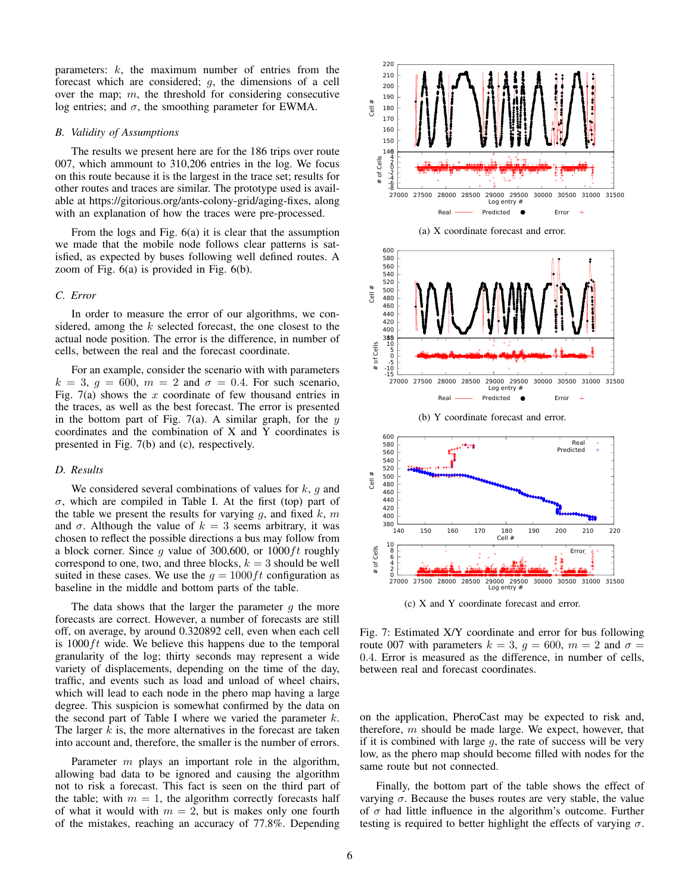parameters: k, the maximum number of entries from the forecast which are considered; g, the dimensions of a cell over the map;  $m$ , the threshold for considering consecutive log entries; and  $\sigma$ , the smoothing parameter for EWMA.

#### *B. Validity of Assumptions*

The results we present here are for the 186 trips over route 007, which ammount to 310,206 entries in the log. We focus on this route because it is the largest in the trace set; results for other routes and traces are similar. The prototype used is available at https://gitorious.org/ants-colony-grid/aging-fixes, along with an explanation of how the traces were pre-processed.

From the logs and Fig. 6(a) it is clear that the assumption we made that the mobile node follows clear patterns is satisfied, as expected by buses following well defined routes. A zoom of Fig. 6(a) is provided in Fig. 6(b).

# *C. Error*

In order to measure the error of our algorithms, we considered, among the k selected forecast, the one closest to the actual node position. The error is the difference, in number of cells, between the real and the forecast coordinate.

For an example, consider the scenario with with parameters  $k = 3$ ,  $g = 600$ ,  $m = 2$  and  $\sigma = 0.4$ . For such scenario, Fig. 7(a) shows the x coordinate of few thousand entries in the traces, as well as the best forecast. The error is presented in the bottom part of Fig. 7(a). A similar graph, for the  $y$ coordinates and the combination of X and Y coordinates is presented in Fig. 7(b) and (c), respectively.

# *D. Results*

We considered several combinations of values for  $k$ ,  $g$  and  $\sigma$ , which are compiled in Table I. At the first (top) part of the table we present the results for varying  $g$ , and fixed  $k$ ,  $m$ and  $\sigma$ . Although the value of  $k = 3$  seems arbitrary, it was chosen to reflect the possible directions a bus may follow from a block corner. Since q value of 300,600, or  $1000 \, ft$  roughly correspond to one, two, and three blocks,  $k = 3$  should be well suited in these cases. We use the  $g = 1000 \, ft$  configuration as baseline in the middle and bottom parts of the table.

The data shows that the larger the parameter  $q$  the more forecasts are correct. However, a number of forecasts are still off, on average, by around 0.320892 cell, even when each cell is  $1000 ft$  wide. We believe this happens due to the temporal granularity of the log; thirty seconds may represent a wide variety of displacements, depending on the time of the day, traffic, and events such as load and unload of wheel chairs, which will lead to each node in the phero map having a large degree. This suspicion is somewhat confirmed by the data on the second part of Table I where we varied the parameter  $k$ . The larger  $k$  is, the more alternatives in the forecast are taken into account and, therefore, the smaller is the number of errors.

Parameter  $m$  plays an important role in the algorithm, allowing bad data to be ignored and causing the algorithm not to risk a forecast. This fact is seen on the third part of the table; with  $m = 1$ , the algorithm correctly forecasts half of what it would with  $m = 2$ , but is makes only one fourth of the mistakes, reaching an accuracy of 77.8%. Depending





(c) X and Y coordinate forecast and error.

Fig. 7: Estimated X/Y coordinate and error for bus following route 007 with parameters  $k = 3$ ,  $q = 600$ ,  $m = 2$  and  $\sigma =$ 0.4. Error is measured as the difference, in number of cells, between real and forecast coordinates.

on the application, PheroCast may be expected to risk and, therefore, m should be made large. We expect, however, that if it is combined with large  $q$ , the rate of success will be very low, as the phero map should become filled with nodes for the same route but not connected.

Finally, the bottom part of the table shows the effect of varying  $\sigma$ . Because the buses routes are very stable, the value of  $\sigma$  had little influence in the algorithm's outcome. Further testing is required to better highlight the effects of varying  $\sigma$ .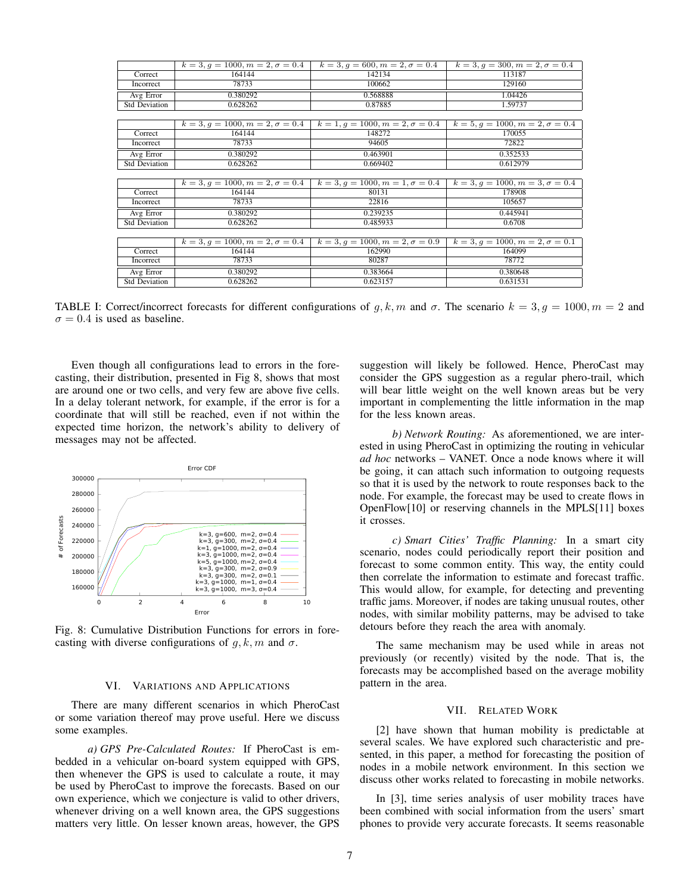|                      | $k = 3, q = 1000, m = 2, \sigma = 0.4$ | $k = 3, q = 600, m = 2, \sigma = 0.4$  | $k = 3, q = 300, m = 2, \sigma = 0.4$  |  |
|----------------------|----------------------------------------|----------------------------------------|----------------------------------------|--|
| Correct              | 164144                                 | 142134                                 | 113187                                 |  |
| Incorrect            | 78733                                  | 100662                                 | 129160                                 |  |
| Avg Error            | 0.380292                               | 0.568888                               | 1.04426                                |  |
| <b>Std Deviation</b> | 0.628262                               | 0.87885                                | 1.59737                                |  |
|                      |                                        |                                        |                                        |  |
|                      | $k = 3, q = 1000, m = 2, \sigma = 0.4$ | $k = 1, q = 1000, m = 2, \sigma = 0.4$ | $k = 5, q = 1000, m = 2, \sigma = 0.4$ |  |
| Correct              | 164144                                 | 148272                                 | 170055                                 |  |
| Incorrect            | 78733                                  | 94605                                  | 72822                                  |  |
| Avg Error            | 0.380292                               | 0.463901                               | 0.352533                               |  |
| <b>Std Deviation</b> | 0.628262                               | 0.669402                               | 0.612979                               |  |
|                      |                                        |                                        |                                        |  |
|                      | $k = 3, q = 1000, m = 2, \sigma = 0.4$ | $k = 3, q = 1000, m = 1, \sigma = 0.4$ | $k = 3, q = 1000, m = 3, \sigma = 0.4$ |  |
| Correct              | 164144                                 | 80131                                  | 178908                                 |  |
| Incorrect            | 78733                                  | 22816                                  | 105657                                 |  |
| Avg Error            | 0.380292                               | 0.239235                               | 0.445941                               |  |
| <b>Std Deviation</b> | 0.628262                               | 0.485933                               | 0.6708                                 |  |
|                      |                                        |                                        |                                        |  |
|                      | $k = 3, q = 1000, m = 2, \sigma = 0.4$ | $k = 3, q = 1000, m = 2, \sigma = 0.9$ | $k = 3, q = 1000, m = 2, \sigma = 0.1$ |  |
| Correct              | 164144                                 | 162990                                 | 164099                                 |  |
| Incorrect            | 78733                                  | 80287                                  | 78772                                  |  |
| Avg Error            | 0.380292                               | 0.383664                               | 0.380648                               |  |
| <b>Std Deviation</b> | 0.628262                               | 0.623157                               | 0.631531                               |  |

TABLE I: Correct/incorrect forecasts for different configurations of  $g, k, m$  and  $\sigma$ . The scenario  $k = 3, g = 1000, m = 2$  and  $\sigma = 0.4$  is used as baseline.

Even though all configurations lead to errors in the forecasting, their distribution, presented in Fig 8, shows that most are around one or two cells, and very few are above five cells. In a delay tolerant network, for example, if the error is for a coordinate that will still be reached, even if not within the expected time horizon, the network's ability to delivery of messages may not be affected.



Fig. 8: Cumulative Distribution Functions for errors in forecasting with diverse configurations of  $g, k, m$  and  $\sigma$ .

# VI. VARIATIONS AND APPLICATIONS

There are many different scenarios in which PheroCast or some variation thereof may prove useful. Here we discuss some examples.

*a) GPS Pre-Calculated Routes:* If PheroCast is embedded in a vehicular on-board system equipped with GPS, then whenever the GPS is used to calculate a route, it may be used by PheroCast to improve the forecasts. Based on our own experience, which we conjecture is valid to other drivers, whenever driving on a well known area, the GPS suggestions matters very little. On lesser known areas, however, the GPS

suggestion will likely be followed. Hence, PheroCast may consider the GPS suggestion as a regular phero-trail, which will bear little weight on the well known areas but be very important in complementing the little information in the map for the less known areas.

*b) Network Routing:* As aforementioned, we are interested in using PheroCast in optimizing the routing in vehicular *ad hoc* networks – VANET. Once a node knows where it will be going, it can attach such information to outgoing requests so that it is used by the network to route responses back to the node. For example, the forecast may be used to create flows in OpenFlow[10] or reserving channels in the MPLS[11] boxes it crosses.

*c) Smart Cities' Traffic Planning:* In a smart city scenario, nodes could periodically report their position and forecast to some common entity. This way, the entity could then correlate the information to estimate and forecast traffic. This would allow, for example, for detecting and preventing traffic jams. Moreover, if nodes are taking unusual routes, other nodes, with similar mobility patterns, may be advised to take detours before they reach the area with anomaly.

The same mechanism may be used while in areas not previously (or recently) visited by the node. That is, the forecasts may be accomplished based on the average mobility pattern in the area.

#### VII. RELATED WORK

[2] have shown that human mobility is predictable at several scales. We have explored such characteristic and presented, in this paper, a method for forecasting the position of nodes in a mobile network environment. In this section we discuss other works related to forecasting in mobile networks.

In [3], time series analysis of user mobility traces have been combined with social information from the users' smart phones to provide very accurate forecasts. It seems reasonable